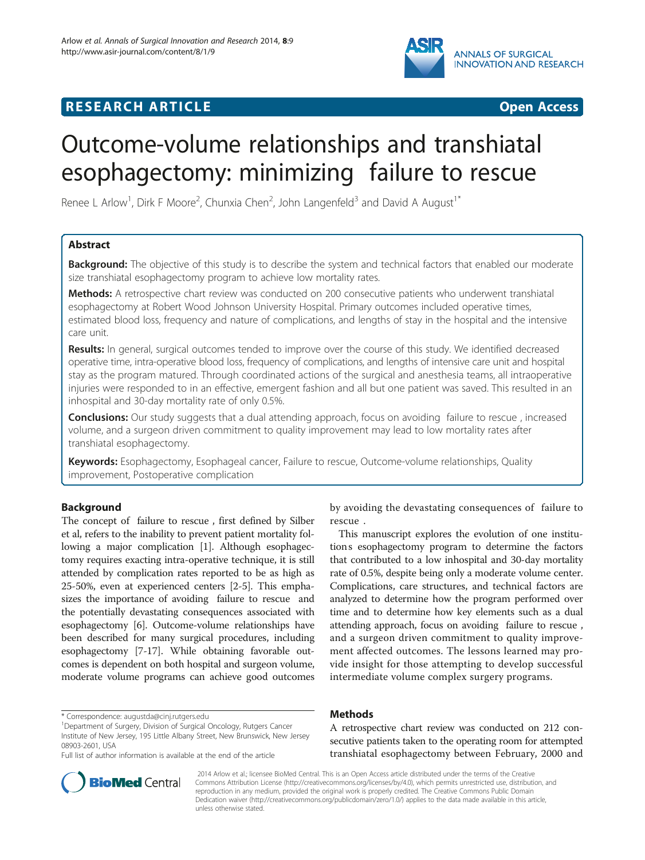

## **RESEARCH ARTICLE Example 2018 12:00 DEAR COPEN ACCESS**

# Outcome-volume relationships and transhiatal esophagectomy: minimizing failure to rescue

Renee L Arlow<sup>1</sup>, Dirk F Moore<sup>2</sup>, Chunxia Chen<sup>2</sup>, John Langenfeld<sup>3</sup> and David A August<sup>1\*</sup>

## Abstract

Background: The objective of this study is to describe the system and technical factors that enabled our moderate size transhiatal esophagectomy program to achieve low mortality rates.

Methods: A retrospective chart review was conducted on 200 consecutive patients who underwent transhiatal esophagectomy at Robert Wood Johnson University Hospital. Primary outcomes included operative times, estimated blood loss, frequency and nature of complications, and lengths of stay in the hospital and the intensive care unit.

Results: In general, surgical outcomes tended to improve over the course of this study. We identified decreased operative time, intra-operative blood loss, frequency of complications, and lengths of intensive care unit and hospital stay as the program matured. Through coordinated actions of the surgical and anesthesia teams, all intraoperative injuries were responded to in an effective, emergent fashion and all but one patient was saved. This resulted in an inhospital and 30-day mortality rate of only 0.5%.

**Conclusions:** Our study suggests that a dual attending approach, focus on avoiding failure to rescue, increased volume, and a surgeon driven commitment to quality improvement may lead to low mortality rates after transhiatal esophagectomy.

Keywords: Esophagectomy, Esophageal cancer, Failure to rescue, Outcome-volume relationships, Quality improvement, Postoperative complication

## Background

The concept of failure to rescue , first defined by Silber et al, refers to the inability to prevent patient mortality following a major complication [[1](#page-6-0)]. Although esophagectomy requires exacting intra-operative technique, it is still attended by complication rates reported to be as high as 25-50%, even at experienced centers [\[2](#page-6-0)-[5](#page-6-0)]. This emphasizes the importance of avoiding failure to rescue and the potentially devastating consequences associated with esophagectomy [\[6](#page-6-0)]. Outcome-volume relationships have been described for many surgical procedures, including esophagectomy [[7-17](#page-6-0)]. While obtaining favorable outcomes is dependent on both hospital and surgeon volume, moderate volume programs can achieve good outcomes



This manuscript explores the evolution of one institutions esophagectomy program to determine the factors that contributed to a low inhospital and 30-day mortality rate of 0.5%, despite being only a moderate volume center. Complications, care structures, and technical factors are analyzed to determine how the program performed over time and to determine how key elements such as a dual attending approach, focus on avoiding failure to rescue , and a surgeon driven commitment to quality improvement affected outcomes. The lessons learned may provide insight for those attempting to develop successful intermediate volume complex surgery programs.

## Methods

A retrospective chart review was conducted on 212 consecutive patients taken to the operating room for attempted transhiatal esophagectomy between February, 2000 and



? 2014 Arlow et al.; licensee BioMed Central. This is an Open Access article distributed under the terms of the Creative Commons Attribution License [\(http://creativecommons.org/licenses/by/4.0\)](http://creativecommons.org/licenses/by/4.0), which permits unrestricted use, distribution, and reproduction in any medium, provided the original work is properly credited. The Creative Commons Public Domain Dedication waiver [\(http://creativecommons.org/publicdomain/zero/1.0/](http://creativecommons.org/publicdomain/zero/1.0/)) applies to the data made available in this article, unless otherwise stated.

<sup>\*</sup> Correspondence: [augustda@cinj.rutgers.edu](mailto:augustda@cinj.rutgers.edu) <sup>1</sup>

Department of Surgery, Division of Surgical Oncology, Rutgers Cancer Institute of New Jersey, 195 Little Albany Street, New Brunswick, New Jersey 08903-2601, USA

Full list of author information is available at the end of the article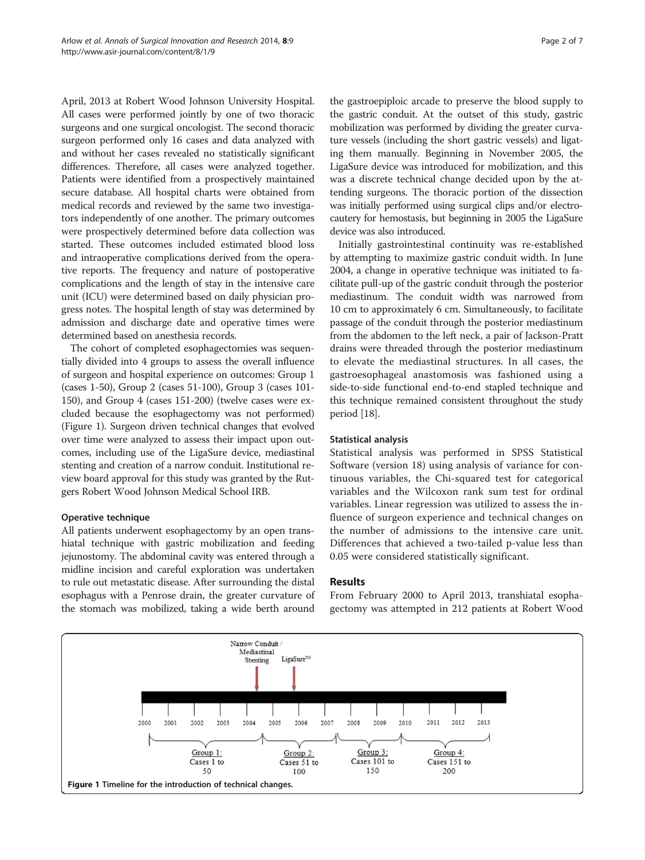April, 2013 at Robert Wood Johnson University Hospital. All cases were performed jointly by one of two thoracic surgeons and one surgical oncologist. The second thoracic surgeon performed only 16 cases and data analyzed with and without her cases revealed no statistically significant differences. Therefore, all cases were analyzed together. Patients were identified from a prospectively maintained secure database. All hospital charts were obtained from medical records and reviewed by the same two investigators independently of one another. The primary outcomes were prospectively determined before data collection was started. These outcomes included estimated blood loss and intraoperative complications derived from the operative reports. The frequency and nature of postoperative complications and the length of stay in the intensive care unit (ICU) were determined based on daily physician progress notes. The hospital length of stay was determined by admission and discharge date and operative times were determined based on anesthesia records.

The cohort of completed esophagectomies was sequentially divided into 4 groups to assess the overall influence of surgeon and hospital experience on outcomes: Group 1 (cases 1-50), Group 2 (cases 51-100), Group 3 (cases 101- 150), and Group 4 (cases 151-200) (twelve cases were excluded because the esophagectomy was not performed) (Figure 1). Surgeon driven technical changes that evolved over time were analyzed to assess their impact upon outcomes, including use of the LigaSure device, mediastinal stenting and creation of a narrow conduit. Institutional review board approval for this study was granted by the Rutgers Robert Wood Johnson Medical School IRB.

## Operative technique

All patients underwent esophagectomy by an open transhiatal technique with gastric mobilization and feeding jejunostomy. The abdominal cavity was entered through a midline incision and careful exploration was undertaken to rule out metastatic disease. After surrounding the distal esophagus with a Penrose drain, the greater curvature of the stomach was mobilized, taking a wide berth around the gastroepiploic arcade to preserve the blood supply to the gastric conduit. At the outset of this study, gastric mobilization was performed by dividing the greater curvature vessels (including the short gastric vessels) and ligating them manually. Beginning in November 2005, the LigaSure device was introduced for mobilization, and this was a discrete technical change decided upon by the attending surgeons. The thoracic portion of the dissection was initially performed using surgical clips and/or electrocautery for hemostasis, but beginning in 2005 the LigaSure device was also introduced.

Initially gastrointestinal continuity was re-established by attempting to maximize gastric conduit width. In June 2004, a change in operative technique was initiated to facilitate pull-up of the gastric conduit through the posterior mediastinum. The conduit width was narrowed from 10 cm to approximately 6 cm. Simultaneously, to facilitate passage of the conduit through the posterior mediastinum from the abdomen to the left neck, a pair of Jackson-Pratt drains were threaded through the posterior mediastinum to elevate the mediastinal structures. In all cases, the gastroesophageal anastomosis was fashioned using a side-to-side functional end-to-end stapled technique and this technique remained consistent throughout the study period [\[18\]](#page-6-0).

### Statistical analysis

Statistical analysis was performed in SPSS Statistical Software (version 18) using analysis of variance for continuous variables, the Chi-squared test for categorical variables and the Wilcoxon rank sum test for ordinal variables. Linear regression was utilized to assess the influence of surgeon experience and technical changes on the number of admissions to the intensive care unit. Differences that achieved a two-tailed p-value less than 0.05 were considered statistically significant.

### Results

From February 2000 to April 2013, transhiatal esophagectomy was attempted in 212 patients at Robert Wood

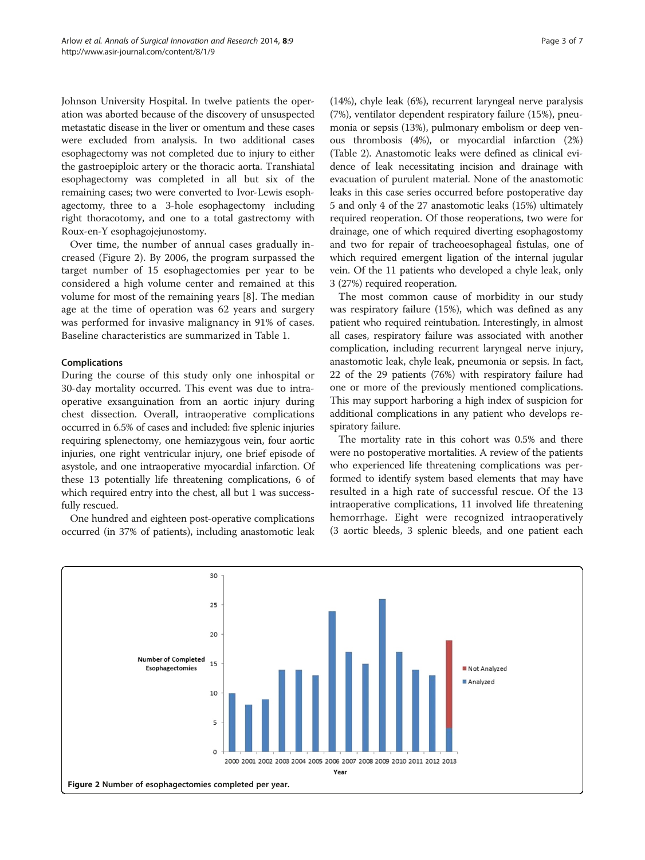Johnson University Hospital. In twelve patients the operation was aborted because of the discovery of unsuspected metastatic disease in the liver or omentum and these cases were excluded from analysis. In two additional cases esophagectomy was not completed due to injury to either the gastroepiploic artery or the thoracic aorta. Transhiatal esophagectomy was completed in all but six of the remaining cases; two were converted to Ivor-Lewis esophagectomy, three to a 3-hole esophagectomy including right thoracotomy, and one to a total gastrectomy with Roux-en-Y esophagojejunostomy.

Over time, the number of annual cases gradually increased (Figure 2). By 2006, the program surpassed the target number of 15 esophagectomies per year to be considered a high volume center and remained at this volume for most of the remaining years [\[8](#page-6-0)]. The median age at the time of operation was 62 years and surgery was performed for invasive malignancy in 91% of cases. Baseline characteristics are summarized in Table [1.](#page-3-0)

## Complications

During the course of this study only one inhospital or 30-day mortality occurred. This event was due to intraoperative exsanguination from an aortic injury during chest dissection. Overall, intraoperative complications occurred in 6.5% of cases and included: five splenic injuries requiring splenectomy, one hemiazygous vein, four aortic injuries, one right ventricular injury, one brief episode of asystole, and one intraoperative myocardial infarction. Of these 13 potentially life threatening complications, 6 of which required entry into the chest, all but 1 was successfully rescued.

One hundred and eighteen post-operative complications occurred (in 37% of patients), including anastomotic leak (14%), chyle leak (6%), recurrent laryngeal nerve paralysis (7%), ventilator dependent respiratory failure (15%), pneumonia or sepsis (13%), pulmonary embolism or deep venous thrombosis (4%), or myocardial infarction (2%) (Table [2](#page-4-0)). Anastomotic leaks were defined as clinical evidence of leak necessitating incision and drainage with evacuation of purulent material. None of the anastomotic leaks in this case series occurred before postoperative day 5 and only 4 of the 27 anastomotic leaks (15%) ultimately required reoperation. Of those reoperations, two were for drainage, one of which required diverting esophagostomy and two for repair of tracheoesophageal fistulas, one of which required emergent ligation of the internal jugular vein. Of the 11 patients who developed a chyle leak, only 3 (27%) required reoperation.

The most common cause of morbidity in our study was respiratory failure (15%), which was defined as any patient who required reintubation. Interestingly, in almost all cases, respiratory failure was associated with another complication, including recurrent laryngeal nerve injury, anastomotic leak, chyle leak, pneumonia or sepsis. In fact, 22 of the 29 patients (76%) with respiratory failure had one or more of the previously mentioned complications. This may support harboring a high index of suspicion for additional complications in any patient who develops respiratory failure.

The mortality rate in this cohort was 0.5% and there were no postoperative mortalities. A review of the patients who experienced life threatening complications was performed to identify system based elements that may have resulted in a high rate of successful rescue. Of the 13 intraoperative complications, 11 involved life threatening hemorrhage. Eight were recognized intraoperatively (3 aortic bleeds, 3 splenic bleeds, and one patient each

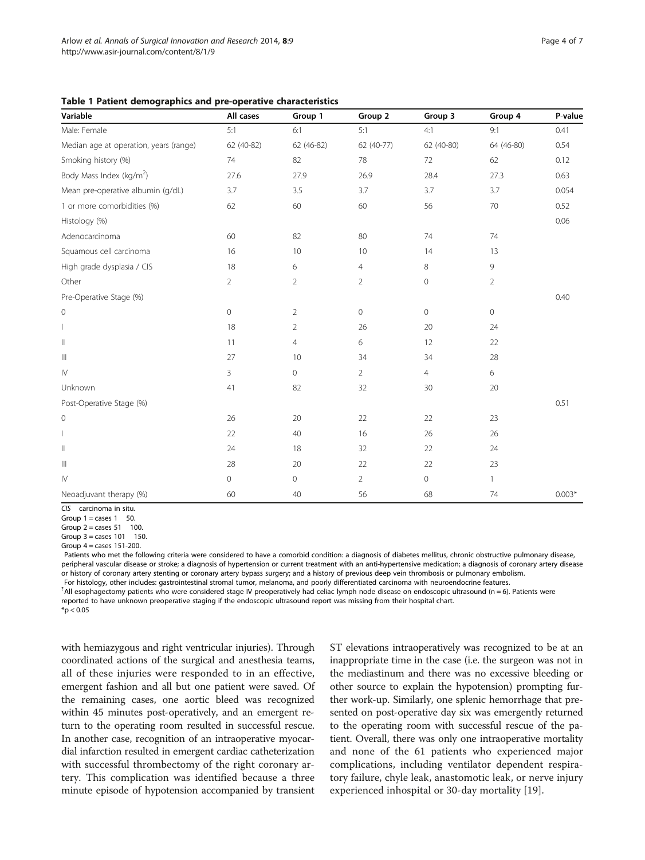<span id="page-3-0"></span>Table 1 Patient demographics and pre-operative characteristics

| Variable                               | All cases           | Group 1        | Group 2        | Group 3        | Group 4        | P-value  |
|----------------------------------------|---------------------|----------------|----------------|----------------|----------------|----------|
| Male: Female                           | 5:1                 | 6:1            | 5:1            | 4:1            | 9:1            | 0.41     |
| Median age at operation, years (range) | 62 (40-82)          | 62 (46-82)     | 62 (40-77)     | 62 (40-80)     | 64 (46-80)     | 0.54     |
| Smoking history (%)                    | 74                  | 82             | 78             | 72             | 62             | 0.12     |
| Body Mass Index (kg/m <sup>2</sup> )   | 27.6                | 27.9           | 26.9           | 28.4           | 27.3           | 0.63     |
| Mean pre-operative albumin (g/dL)      | 3.7                 | 3.5            | 3.7            | 3.7            | 3.7            | 0.054    |
| 1 or more comorbidities (%)            | 62                  | 60             | 60             | 56             | 70             | 0.52     |
| Histology (%)                          |                     |                |                |                |                | 0.06     |
| Adenocarcinoma                         | 60                  | 82             | 80             | 74             | 74             |          |
| Squamous cell carcinoma                | 16                  | 10             | 10             | 14             | 13             |          |
| High grade dysplasia / CIS             | 18                  | 6              | $\overline{4}$ | $\,8\,$        | 9              |          |
| Other                                  | $\overline{2}$      | $\overline{2}$ | $\overline{2}$ | $\circ$        | $\overline{2}$ |          |
| Pre-Operative Stage (%)                |                     |                |                |                |                | 0.40     |
| $\mathbf 0$                            | $\mathsf{O}\xspace$ | $\overline{2}$ | $\circ$        | $\mathbb O$    | 0              |          |
|                                        | 18                  | 2              | 26             | 20             | 24             |          |
| $\begin{array}{c} \hline \end{array}$  | 11                  | $\overline{4}$ | 6              | 12             | 22             |          |
| $\vert\vert\vert$                      | 27                  | 10             | 34             | 34             | 28             |          |
| ${\sf IV}$                             | 3                   | $\circledcirc$ | $\overline{2}$ | $\overline{4}$ | 6              |          |
| Unknown                                | 41                  | 82             | 32             | 30             | 20             |          |
| Post-Operative Stage (%)               |                     |                |                |                |                | 0.51     |
| 0                                      | 26                  | 20             | 22             | 22             | 23             |          |
|                                        | 22                  | $40\,$         | 16             | 26             | 26             |          |
| $\begin{array}{c} \hline \end{array}$  | 24                  | 18             | 32             | 22             | 24             |          |
| $\ensuremath{\mathsf{III}}\xspace$     | 28                  | 20             | 22             | 22             | 23             |          |
| ${\mathsf l} {\mathsf V}$              | 0                   | $\circ$        | $\overline{2}$ | $\mathbb O$    | 1              |          |
| Neoadjuvant therapy (%)                | 60                  | 40             | 56             | 68             | 74             | $0.003*$ |

CIS carcinoma in situ.

Group  $1 = \text{cases } 1 = 50$ .

Group  $2 = \text{cases } 51 \text{ } 100.$ 

Group  $3 = \text{cases} 101$  150.

Group  $4$  = cases 151-200.

Patients who met the following criteria were considered to have a comorbid condition: a diagnosis of diabetes mellitus, chronic obstructive pulmonary disease, peripheral vascular disease or stroke; a diagnosis of hypertension or current treatment with an anti-hypertensive medication; a diagnosis of coronary artery disease or history of coronary artery stenting or coronary artery bypass surgery; and a history of previous deep vein thrombosis or pulmonary embolism. For histology, other includes: gastrointestinal stromal tumor, melanoma, and poorly differentiated carcinoma with neuroendocrine features.

? All esophagectomy patients who were considered stage IV preoperatively had celiac lymph node disease on endoscopic ultrasound (n = 6). Patients were reported to have unknown preoperative staging if the endoscopic ultrasound report was missing from their hospital chart.  $*$ p < 0.05

with hemiazygous and right ventricular injuries). Through coordinated actions of the surgical and anesthesia teams, all of these injuries were responded to in an effective, emergent fashion and all but one patient were saved. Of the remaining cases, one aortic bleed was recognized within 45 minutes post-operatively, and an emergent return to the operating room resulted in successful rescue. In another case, recognition of an intraoperative myocardial infarction resulted in emergent cardiac catheterization with successful thrombectomy of the right coronary artery. This complication was identified because a three minute episode of hypotension accompanied by transient

ST elevations intraoperatively was recognized to be at an inappropriate time in the case (i.e. the surgeon was not in the mediastinum and there was no excessive bleeding or other source to explain the hypotension) prompting further work-up. Similarly, one splenic hemorrhage that presented on post-operative day six was emergently returned to the operating room with successful rescue of the patient. Overall, there was only one intraoperative mortality and none of the 61 patients who experienced major complications, including ventilator dependent respiratory failure, chyle leak, anastomotic leak, or nerve injury experienced inhospital or 30-day mortality [[19](#page-6-0)].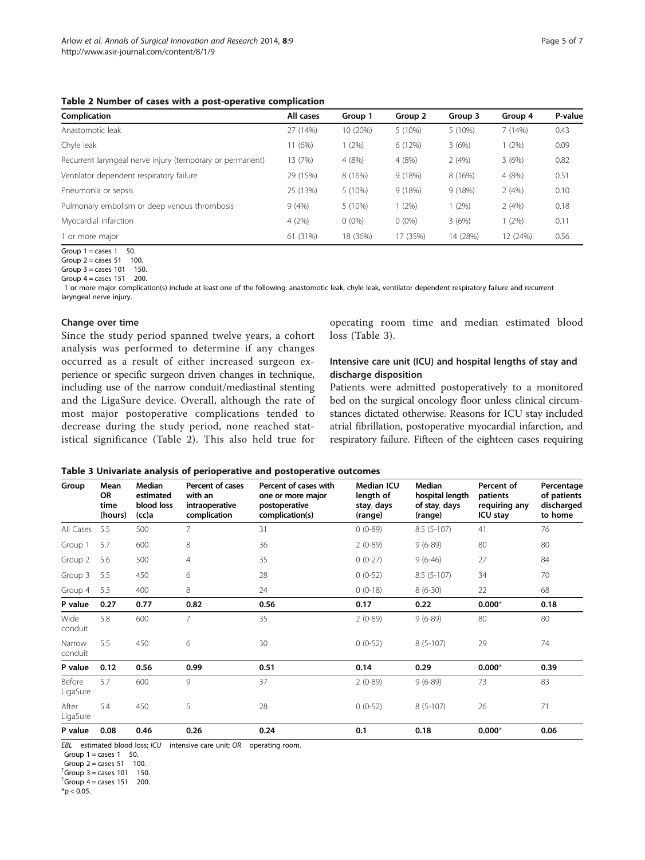<span id="page-4-0"></span>Table 2 Number of cases with a post-operative complication

| Complication                                              | All cases | Group 1  | Group 2   | Group 3  | Group 4  | P-value |
|-----------------------------------------------------------|-----------|----------|-----------|----------|----------|---------|
| Anastomotic leak                                          | 27 (14%)  | 10 (20%) | $5(10\%)$ | 5 (10%)  | 7(14%)   | 0.43    |
| Chyle leak                                                | 11 (6%)   | (2%)     | 6 (12%)   | 3(6%)    | $1(2\%)$ | 0.09    |
| Recurrent laryngeal nerve injury (temporary or permanent) | 13 (7%)   | 4 (8%)   | 4 (8%)    | 2(4%)    | 3(6%)    | 0.82    |
| Ventilator dependent respiratory failure                  | 29 (15%)  | 8 (16%)  | 9(18%)    | 8 (16%)  | 4 (8%)   | 0.51    |
| Pneumonia or sepsis                                       | 25 (13%)  | 5(10%)   | 9(18%)    | 9(18%)   | 2(4%)    | 0.10    |
| Pulmonary embolism or deep venous thrombosis              | 9(4%)     | 5(10%)   | 1(2%)     | (2%)     | 2(4%)    | 0.18    |
| Myocardial infarction                                     | 4(2%)     | $0(0\%)$ | $0(0\%)$  | 3(6%)    | 1(2%)    | 0.11    |
| l or more major                                           | 61 (31%)  | 18 (36%) | 17 (35%)  | 14 (28%) | 12 (24%) | 0.56    |

Group  $1 = \text{cases } 1 = 50$ .

Group  $2 = \text{cases } 51 \text{ } 100.$ 

Group  $3 = \text{cases } 101 \quad 150.$ 

Group  $4 = \text{cases } 151 \quad 200.$ 

1 or more major complication(s) include at least one of the following: anastomotic leak, chyle leak, ventilator dependent respiratory failure and recurrent laryngeal nerve injury.

#### Change over time

Since the study period spanned twelve years, a cohort analysis was performed to determine if any changes occurred as a result of either increased surgeon experience or specific surgeon driven changes in technique, including use of the narrow conduit/mediastinal stenting and the LigaSure device. Overall, although the rate of most major postoperative complications tended to decrease during the study period, none reached statistical significance (Table 2). This also held true for

operating room time and median estimated blood loss (Table 3).

## Intensive care unit (ICU) and hospital lengths of stay and discharge disposition

Patients were admitted postoperatively to a monitored bed on the surgical oncology floor unless clinical circumstances dictated otherwise. Reasons for ICU stay included atrial fibrillation, postoperative myocardial infarction, and respiratory failure. Fifteen of the eighteen cases requiring

|  |  |  | Table 3 Univariate analysis of perioperative and postoperative outcomes |
|--|--|--|-------------------------------------------------------------------------|
|--|--|--|-------------------------------------------------------------------------|

| Group              | Mean<br><b>OR</b><br>time<br>(hours) | Median<br>estimated<br>blood loss<br>(cc)a | Percent of cases<br>with an<br>intraoperative<br>complication | Percent of cases with<br>one or more major<br>postoperative<br>complication(s) | Median ICU<br>length of<br>stay, days<br>(range) | Median<br>hospital length<br>of stay, days<br>(range) | Percent of<br>patients<br>requiring any<br><b>ICU stay</b> | Percentage<br>of patients<br>discharged<br>to home |
|--------------------|--------------------------------------|--------------------------------------------|---------------------------------------------------------------|--------------------------------------------------------------------------------|--------------------------------------------------|-------------------------------------------------------|------------------------------------------------------------|----------------------------------------------------|
| All Cases          | 5.5                                  | 500                                        | $\overline{7}$                                                | 31                                                                             | $0(0-89)$                                        | $8.5(5-107)$                                          | 41                                                         | 76                                                 |
| Group 1            | 5.7                                  | 600                                        | 8                                                             | 36                                                                             | $2(0-89)$                                        | $9(6-89)$                                             | 80                                                         | 80                                                 |
| Group 2            | 5.6                                  | 500                                        | 4                                                             | 35                                                                             | $0(0-27)$                                        | $9(6-46)$                                             | 27                                                         | 84                                                 |
| Group 3            | 5.5                                  | 450                                        | 6                                                             | 28                                                                             | $0(0-52)$                                        | $8.5(5-107)$                                          | 34                                                         | 70                                                 |
| Group 4            | 5.3                                  | 400                                        | 8                                                             | 24                                                                             | $0(0-18)$                                        | $8(6-30)$                                             | 22                                                         | 68                                                 |
| P value            | 0.27                                 | 0.77                                       | 0.82                                                          | 0.56                                                                           | 0.17                                             | 0.22                                                  | $0.000*$                                                   | 0.18                                               |
| Wide<br>conduit    | 5.8                                  | 600                                        | $\overline{7}$                                                | 35                                                                             | $2(0-89)$                                        | $9(6-89)$                                             | 80                                                         | 80                                                 |
| Narrow<br>conduit  | 5.5                                  | 450                                        | 6                                                             | 30                                                                             | $0(0-52)$                                        | $8(5-107)$                                            | 29                                                         | 74                                                 |
| P value            | 0.12                                 | 0.56                                       | 0.99                                                          | 0.51                                                                           | 0.14                                             | 0.29                                                  | $0.000*$                                                   | 0.39                                               |
| Before<br>LigaSure | 5.7                                  | 600                                        | 9                                                             | 37                                                                             | $2(0-89)$                                        | $9(6-89)$                                             | 73                                                         | 83                                                 |
| After<br>LigaSure  | 5.4                                  | 450                                        | 5                                                             | 28                                                                             | $0(0-52)$                                        | $8(5-107)$                                            | 26                                                         | 71                                                 |
| P value            | 0.08                                 | 0.46                                       | 0.26                                                          | 0.24                                                                           | 0.1                                              | 0.18                                                  | $0.000*$                                                   | 0.06                                               |

EBL estimated blood loss; ICU intensive care unit; OR operating room.

Group  $1 = \text{cases } 1 = 50$ .

Group  $2 = \text{cases } 51 \quad 100.$ 

 ${}^{7}$ Group 3 = cases 101 150.

 ${}^{7}$ Group 4 = cases 151 200.

 $*$ p < 0.05.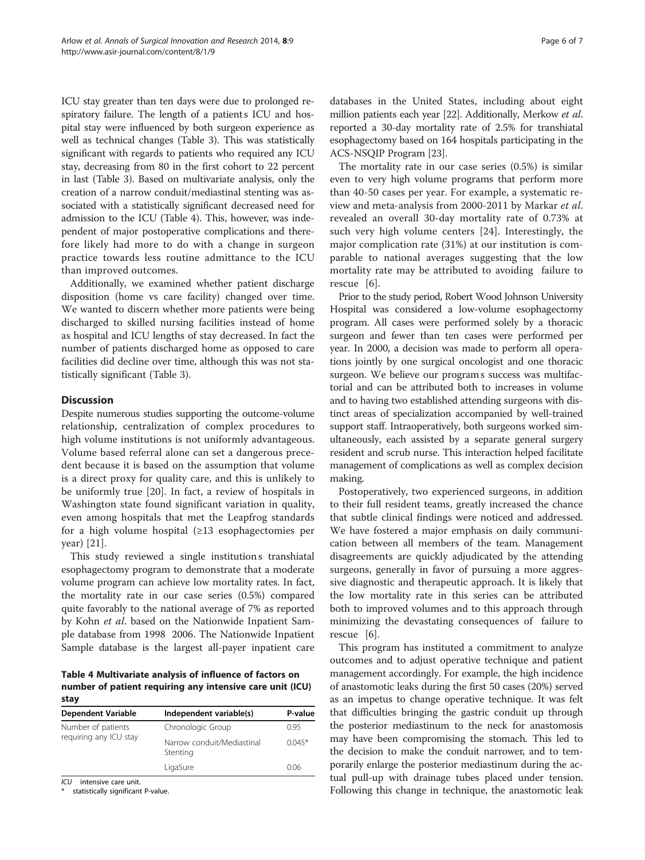ICU stay greater than ten days were due to prolonged respiratory failure. The length of a patients ICU and hospital stay were influenced by both surgeon experience as well as technical changes (Table [3](#page-4-0)). This was statistically significant with regards to patients who required any ICU stay, decreasing from 80 in the first cohort to 22 percent in last (Table [3](#page-4-0)). Based on multivariate analysis, only the creation of a narrow conduit/mediastinal stenting was associated with a statistically significant decreased need for admission to the ICU (Table 4). This, however, was independent of major postoperative complications and therefore likely had more to do with a change in surgeon practice towards less routine admittance to the ICU than improved outcomes.

Additionally, we examined whether patient discharge disposition (home vs care facility) changed over time. We wanted to discern whether more patients were being discharged to skilled nursing facilities instead of home as hospital and ICU lengths of stay decreased. In fact the number of patients discharged home as opposed to care facilities did decline over time, although this was not statistically significant (Table [3](#page-4-0)).

## **Discussion**

Despite numerous studies supporting the outcome-volume relationship, centralization of complex procedures to high volume institutions is not uniformly advantageous. Volume based referral alone can set a dangerous precedent because it is based on the assumption that volume is a direct proxy for quality care, and this is unlikely to be uniformly true [\[20](#page-6-0)]. In fact, a review of hospitals in Washington state found significant variation in quality, even among hospitals that met the Leapfrog standards for a high volume hospital (≥13 esophagectomies per year) [[21](#page-6-0)].

This study reviewed a single institution s transhiatal esophagectomy program to demonstrate that a moderate volume program can achieve low mortality rates. In fact, the mortality rate in our case series (0.5%) compared quite favorably to the national average of 7% as reported by Kohn et al. based on the Nationwide Inpatient Sample database from 1998 2006. The Nationwide Inpatient Sample database is the largest all-payer inpatient care

Table 4 Multivariate analysis of influence of factors on number of patient requiring any intensive care unit (ICU) stay

| <b>Dependent Variable</b> | Independent variable(s)                | P-value  |
|---------------------------|----------------------------------------|----------|
| Number of patients        | Chronologic Group                      | 0.95     |
| requiring any ICU stay    | Narrow conduit/Mediastinal<br>Stenting | $0.045*$ |
|                           | LigaSure                               | 0.06     |

ICU intensive care unit.

statistically significant P-value.

databases in the United States, including about eight million patients each year [\[22\]](#page-6-0). Additionally, Merkow et al. reported a 30-day mortality rate of 2.5% for transhiatal esophagectomy based on 164 hospitals participating in the ACS-NSQIP Program [\[23](#page-6-0)].

The mortality rate in our case series (0.5%) is similar even to very high volume programs that perform more than 40-50 cases per year. For example, a systematic review and meta-analysis from 2000-2011 by Markar et al. revealed an overall 30-day mortality rate of 0.73% at such very high volume centers [\[24](#page-6-0)]. Interestingly, the major complication rate (31%) at our institution is comparable to national averages suggesting that the low mortality rate may be attributed to avoiding failure to rescue [[6\]](#page-6-0).

Prior to the study period, Robert Wood Johnson University Hospital was considered a low-volume esophagectomy program. All cases were performed solely by a thoracic surgeon and fewer than ten cases were performed per year. In 2000, a decision was made to perform all operations jointly by one surgical oncologist and one thoracic surgeon. We believe our programs success was multifactorial and can be attributed both to increases in volume and to having two established attending surgeons with distinct areas of specialization accompanied by well-trained support staff. Intraoperatively, both surgeons worked simultaneously, each assisted by a separate general surgery resident and scrub nurse. This interaction helped facilitate management of complications as well as complex decision making.

Postoperatively, two experienced surgeons, in addition to their full resident teams, greatly increased the chance that subtle clinical findings were noticed and addressed. We have fostered a major emphasis on daily communication between all members of the team. Management disagreements are quickly adjudicated by the attending surgeons, generally in favor of pursuing a more aggressive diagnostic and therapeutic approach. It is likely that the low mortality rate in this series can be attributed both to improved volumes and to this approach through minimizing the devastating consequences of failure to rescue [\[6](#page-6-0)].

This program has instituted a commitment to analyze outcomes and to adjust operative technique and patient management accordingly. For example, the high incidence of anastomotic leaks during the first 50 cases (20%) served as an impetus to change operative technique. It was felt that difficulties bringing the gastric conduit up through the posterior mediastinum to the neck for anastomosis may have been compromising the stomach. This led to the decision to make the conduit narrower, and to temporarily enlarge the posterior mediastinum during the actual pull-up with drainage tubes placed under tension. Following this change in technique, the anastomotic leak